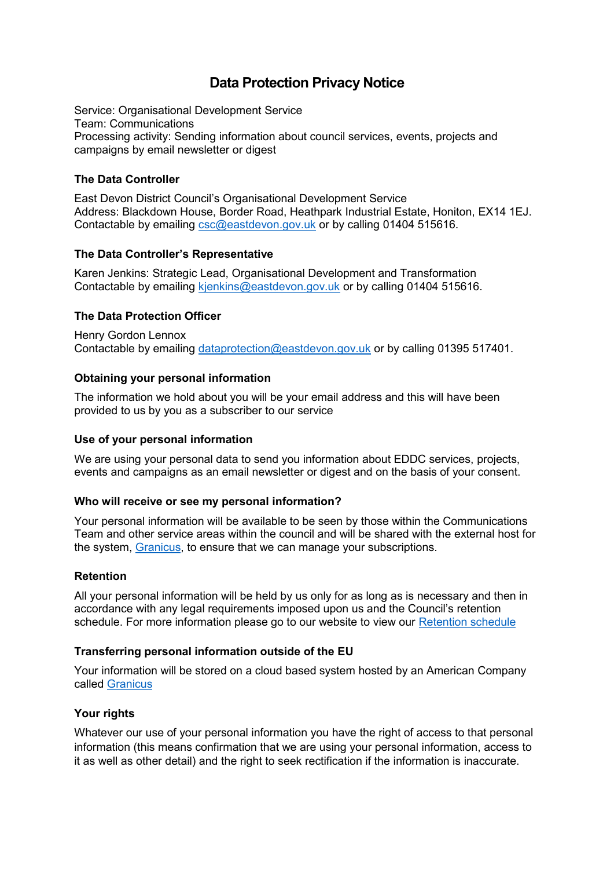# **Data Protection Privacy Notice**

Service: Organisational Development Service Team: Communications Processing activity: Sending information about council services, events, projects and campaigns by email newsletter or digest

## **The Data Controller**

East Devon District Council's Organisational Development Service Address: Blackdown House, Border Road, Heathpark Industrial Estate, Honiton, EX14 1EJ. Contactable by emailing [csc@eastdevon.gov.uk](mailto:csc@eastdevon.gov.uk) or by calling 01404 515616.

## **The Data Controller's Representative**

Karen Jenkins: Strategic Lead, Organisational Development and Transformation Contactable by emailing [kjenkins@eastdevon.gov.uk](mailto:kjenkins@eastdevon.gov.uk) or by calling 01404 515616.

## **The Data Protection Officer**

Henry Gordon Lennox Contactable by emailing [dataprotection@eastdevon.gov.uk](mailto:dataprotection@eastdevon.gov.uk) or by calling 01395 517401.

## **Obtaining your personal information**

The information we hold about you will be your email address and this will have been provided to us by you as a subscriber to our service

### **Use of your personal information**

We are using your personal data to send you information about EDDC services, projects, events and campaigns as an email newsletter or digest and on the basis of your consent.

#### **Who will receive or see my personal information?**

Your personal information will be available to be seen by those within the Communications Team and other service areas within the council and will be shared with the external host for the system, [Granicus,](https://uk.granicus.com/solutions/govdelivery-communications-suite/) to ensure that we can manage your subscriptions.

#### **Retention**

All your personal information will be held by us only for as long as is necessary and then in accordance with any legal requirements imposed upon us and the Council's retention schedule. For more information please go to our website to view our [Retention schedule](http://eastdevon.gov.uk/access-to-information/data-protection/document-retention-schedules/)

#### **Transferring personal information outside of the EU**

Your information will be stored on a cloud based system hosted by an American Company called [Granicus](https://uk.granicus.com/solutions/govdelivery-communications-suite/)

#### **Your rights**

Whatever our use of your personal information you have the right of access to that personal information (this means confirmation that we are using your personal information, access to it as well as other detail) and the right to seek rectification if the information is inaccurate.